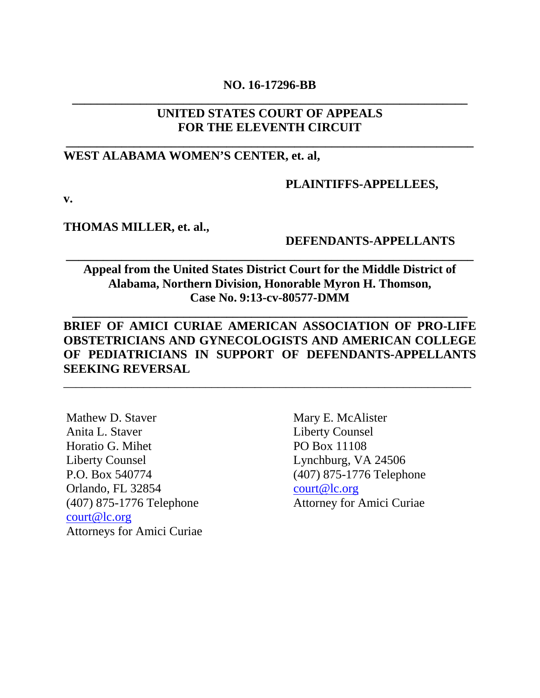## **NO. 16-17296-BB \_\_\_\_\_\_\_\_\_\_\_\_\_\_\_\_\_\_\_\_\_\_\_\_\_\_\_\_\_\_\_\_\_\_\_\_\_\_\_\_\_\_\_\_\_\_\_\_\_\_\_\_\_\_\_\_\_\_\_\_\_\_\_\_**

## **UNITED STATES COURT OF APPEALS FOR THE ELEVENTH CIRCUIT**

**\_\_\_\_\_\_\_\_\_\_\_\_\_\_\_\_\_\_\_\_\_\_\_\_\_\_\_\_\_\_\_\_\_\_\_\_\_\_\_\_\_\_\_\_\_\_\_\_\_\_\_\_\_\_\_\_\_\_\_\_\_\_\_\_\_\_**

## **WEST ALABAMA WOMEN'S CENTER, et. al,**

#### **PLAINTIFFS-APPELLEES,**

**v.**

#### **THOMAS MILLER, et. al.,**

### **DEFENDANTS-APPELLANTS**

# **Appeal from the United States District Court for the Middle District of Alabama, Northern Division, Honorable Myron H. Thomson, Case No. 9:13-cv-80577-DMM**

**\_\_\_\_\_\_\_\_\_\_\_\_\_\_\_\_\_\_\_\_\_\_\_\_\_\_\_\_\_\_\_\_\_\_\_\_\_\_\_\_\_\_\_\_\_\_\_\_\_\_\_\_\_\_\_\_\_\_\_\_\_\_\_\_**

**\_\_\_\_\_\_\_\_\_\_\_\_\_\_\_\_\_\_\_\_\_\_\_\_\_\_\_\_\_\_\_\_\_\_\_\_\_\_\_\_\_\_\_\_\_\_\_\_\_\_\_\_\_\_\_\_\_\_\_\_\_\_\_\_\_\_**

# **BRIEF OF AMICI CURIAE AMERICAN ASSOCIATION OF PRO-LIFE OBSTETRICIANS AND GYNECOLOGISTS AND AMERICAN COLLEGE OF PEDIATRICIANS IN SUPPORT OF DEFENDANTS-APPELLANTS SEEKING REVERSAL**

\_\_\_\_\_\_\_\_\_\_\_\_\_\_\_\_\_\_\_\_\_\_\_\_\_\_\_\_\_\_\_\_\_\_\_\_\_\_\_\_\_\_\_\_\_\_\_\_\_\_\_\_\_\_\_\_\_\_\_\_\_\_\_\_\_\_

Mathew D. Staver Anita L. Staver Horatio G. Mihet Liberty Counsel P.O. Box 540774 Orlando, FL 32854 (407) 875-1776 Telephone [court@lc.org](mailto:court@lc.org) Attorneys for Amici Curiae

Mary E. McAlister Liberty Counsel PO Box 11108 Lynchburg, VA 24506 (407) 875-1776 Telephone [court@lc.org](mailto:court@lc.org) Attorney for Amici Curiae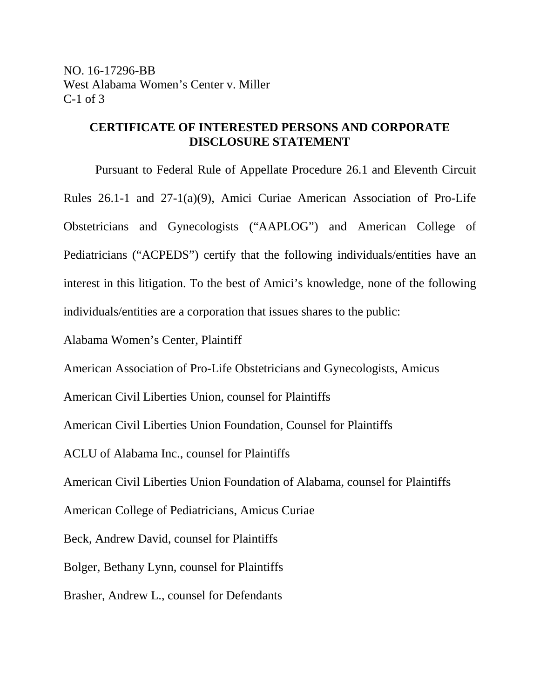## **CERTIFICATE OF INTERESTED PERSONS AND CORPORATE DISCLOSURE STATEMENT**

Pursuant to Federal Rule of Appellate Procedure 26.1 and Eleventh Circuit Rules 26.1-1 and 27-1(a)(9), Amici Curiae American Association of Pro-Life Obstetricians and Gynecologists ("AAPLOG") and American College of Pediatricians ("ACPEDS") certify that the following individuals/entities have an interest in this litigation. To the best of Amici's knowledge, none of the following individuals/entities are a corporation that issues shares to the public:

Alabama Women's Center, Plaintiff

American Association of Pro-Life Obstetricians and Gynecologists, Amicus

American Civil Liberties Union, counsel for Plaintiffs

American Civil Liberties Union Foundation, Counsel for Plaintiffs

ACLU of Alabama Inc., counsel for Plaintiffs

American Civil Liberties Union Foundation of Alabama, counsel for Plaintiffs

American College of Pediatricians, Amicus Curiae

Beck, Andrew David, counsel for Plaintiffs

Bolger, [Bethany Lynn, counsel for Plaintiffs](http://www.westlaw.com/Link/Document/FullText?findType=h&pubNum=176284&cite=0360650001&originatingDoc=I50121d509f8511e6bdb7b23a3c66d5b3&refType=RQ&originationContext=document&vr=3.0&rs=cblt1.0&transitionType=DocumentItem&contextData=(sc.Search))

[Brasher,](http://www.westlaw.com/Link/Document/FullText?findType=h&pubNum=176284&cite=0390712201&originatingDoc=I50121d509f8511e6bdb7b23a3c66d5b3&refType=RQ&originationContext=document&vr=3.0&rs=cblt1.0&transitionType=DocumentItem&contextData=(sc.Search)) Andrew L., counsel for Defendants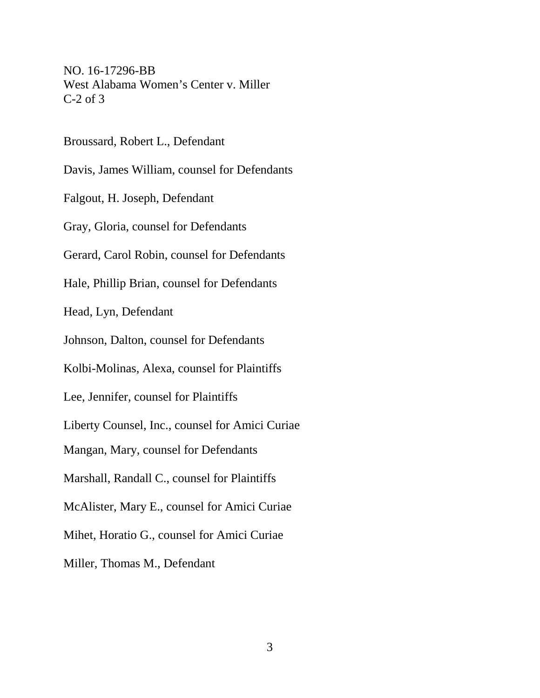NO. 16-17296-BB West Alabama Women's Center v. Miller C-2 of 3

Broussard, Robert L., Defendant

Davis, [James William,](http://www.westlaw.com/Link/Document/FullText?findType=h&pubNum=176284&cite=0243888701&originatingDoc=I50121d509f8511e6bdb7b23a3c66d5b3&refType=RQ&originationContext=document&vr=3.0&rs=cblt1.0&transitionType=DocumentItem&contextData=(sc.Search)) counsel for Defendants

Falgout, H. Joseph, Defendant

Gray, Gloria, counsel for Defendants

Gerard, Carol Robin, counsel for Defendants

Hale, Phillip Brian, counsel for Defendants

Head, Lyn, Defendant

Johnson, Dalton, counsel for Defendants

Kolbi-Molinas, Alexa, counsel for Plaintiffs

Lee, Jennifer, counsel for Plaintiffs

Liberty Counsel, Inc., counsel for Amici Curiae

Mangan, Mary, counsel for Defendants

Marshall, Randall C., counsel for Plaintiffs

McAlister, Mary E., counsel for Amici Curiae

Mihet, Horatio G., counsel for Amici Curiae

Miller, Thomas M., Defendant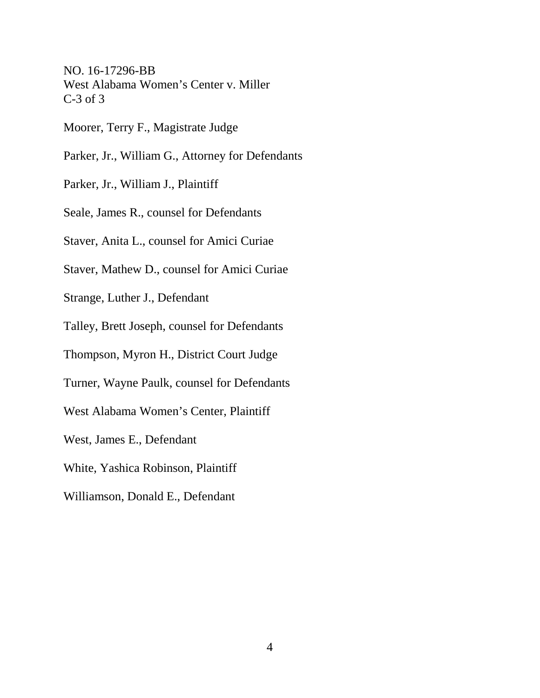NO. 16-17296-BB West Alabama Women's Center v. Miller C-3 of 3

Moorer, Terry F., Magistrate Judge

Parker, Jr., [William G.,](http://www.westlaw.com/Link/Document/FullText?findType=h&pubNum=176284&cite=0462273101&originatingDoc=I50121d509f8511e6bdb7b23a3c66d5b3&refType=RQ&originationContext=document&vr=3.0&rs=cblt1.0&transitionType=DocumentItem&contextData=(sc.Search)) Attorney for Defendants

Parker, Jr., William J., Plaintiff

Seale, James R., counsel for Defendants

Staver, Anita L., counsel for Amici Curiae

Staver, Mathew D., counsel for Amici Curiae

Strange, Luther J., Defendant

Talley, Brett Joseph, counsel for Defendants

Thompson, Myron H., District Court Judge

Turner, Wayne Paulk, counsel for Defendants

West Alabama Women's Center, Plaintiff

West, James E., Defendant

White, Yashica Robinson, Plaintiff

Williamson, Donald E., Defendant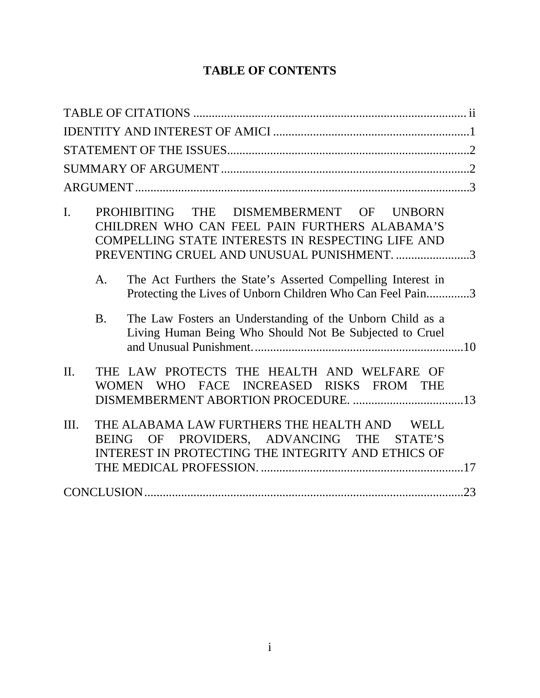# **TABLE OF CONTENTS**

| PROHIBITING THE DISMEMBERMENT OF UNBORN<br>I.<br>CHILDREN WHO CAN FEEL PAIN FURTHERS ALABAMA'S<br>COMPELLING STATE INTERESTS IN RESPECTING LIFE AND<br>PREVENTING CRUEL AND UNUSUAL PUNISHMENT. 3<br>The Act Furthers the State's Asserted Compelling Interest in<br>A.<br>Protecting the Lives of Unborn Children Who Can Feel Pain3 |
|---------------------------------------------------------------------------------------------------------------------------------------------------------------------------------------------------------------------------------------------------------------------------------------------------------------------------------------|
| B <sub>1</sub><br>The Law Fosters an Understanding of the Unborn Child as a<br>Living Human Being Who Should Not Be Subjected to Cruel                                                                                                                                                                                                |
| $\Pi$ .<br>THE LAW PROTECTS THE HEALTH AND WELFARE OF<br>WHO FACE INCREASED RISKS FROM THE<br><b>WOMEN</b>                                                                                                                                                                                                                            |
| THE ALABAMA LAW FURTHERS THE HEALTH AND<br>Ш.<br><b>WELL</b><br>BEING OF PROVIDERS, ADVANCING THE<br>STATE'S<br>INTEREST IN PROTECTING THE INTEGRITY AND ETHICS OF                                                                                                                                                                    |
|                                                                                                                                                                                                                                                                                                                                       |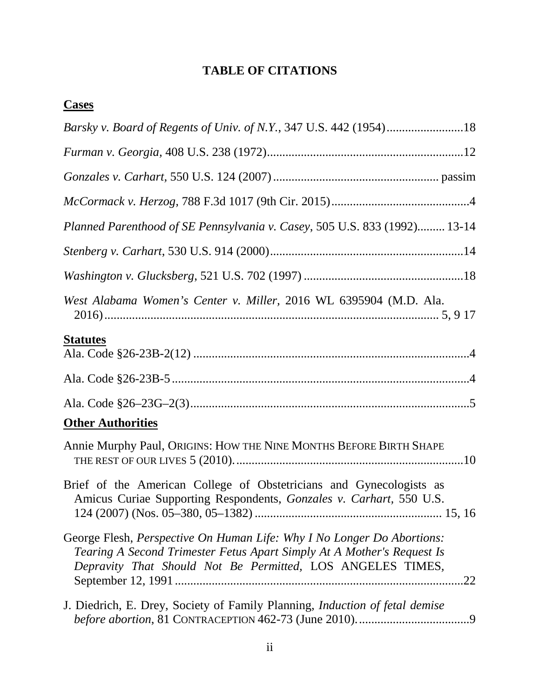# **TABLE OF CITATIONS**

| <b>Cases</b>                                                                                                                                                                                                          |
|-----------------------------------------------------------------------------------------------------------------------------------------------------------------------------------------------------------------------|
|                                                                                                                                                                                                                       |
|                                                                                                                                                                                                                       |
|                                                                                                                                                                                                                       |
|                                                                                                                                                                                                                       |
| Planned Parenthood of SE Pennsylvania v. Casey, 505 U.S. 833 (1992) 13-14                                                                                                                                             |
|                                                                                                                                                                                                                       |
|                                                                                                                                                                                                                       |
| West Alabama Women's Center v. Miller, 2016 WL 6395904 (M.D. Ala.                                                                                                                                                     |
| <b>Statutes</b>                                                                                                                                                                                                       |
|                                                                                                                                                                                                                       |
|                                                                                                                                                                                                                       |
| <b>Other Authorities</b>                                                                                                                                                                                              |
| Annie Murphy Paul, ORIGINS: HOW THE NINE MONTHS BEFORE BIRTH SHAPE                                                                                                                                                    |
| Brief of the American College of Obstetricians and Gynecologists as<br>Amicus Curiae Supporting Respondents, Gonzales v. Carhart, 550 U.S.                                                                            |
| George Flesh, Perspective On Human Life: Why I No Longer Do Abortions:<br>Tearing A Second Trimester Fetus Apart Simply At A Mother's Request Is<br>Depravity That Should Not Be Permitted, LOS ANGELES TIMES,<br>.22 |
| J. Diedrich, E. Drey, Society of Family Planning, Induction of fetal demise                                                                                                                                           |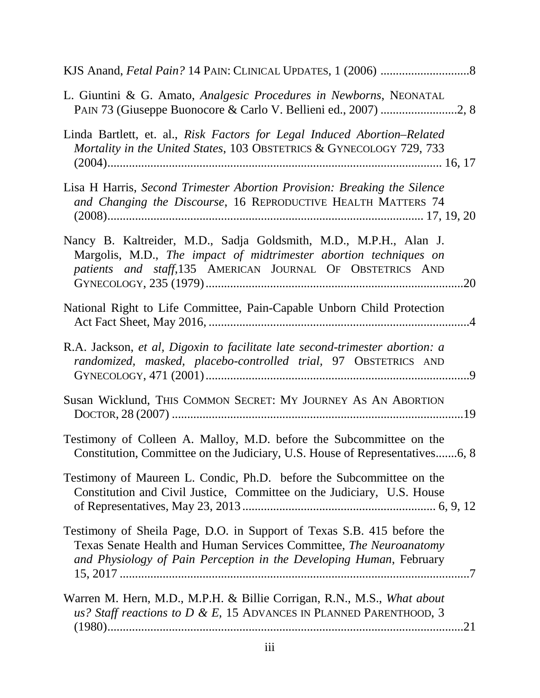| L. Giuntini & G. Amato, Analgesic Procedures in Newborns, NEONATAL                                                                                                                                                  |
|---------------------------------------------------------------------------------------------------------------------------------------------------------------------------------------------------------------------|
| Linda Bartlett, et. al., Risk Factors for Legal Induced Abortion–Related<br>Mortality in the United States, 103 OBSTETRICS & GYNECOLOGY 729, 733                                                                    |
| Lisa H Harris, Second Trimester Abortion Provision: Breaking the Silence<br>and Changing the Discourse, 16 REPRODUCTIVE HEALTH MATTERS 74                                                                           |
| Nancy B. Kaltreider, M.D., Sadja Goldsmith, M.D., M.P.H., Alan J.<br>Margolis, M.D., The impact of midtrimester abortion techniques on<br>patients and staff, 135 AMERICAN JOURNAL OF OBSTETRICS AND                |
| National Right to Life Committee, Pain-Capable Unborn Child Protection                                                                                                                                              |
| R.A. Jackson, et al, Digoxin to facilitate late second-trimester abortion: a<br>randomized, masked, placebo-controlled trial, 97 OBSTETRICS AND                                                                     |
| Susan Wicklund, THIS COMMON SECRET: MY JOURNEY AS AN ABORTION                                                                                                                                                       |
| Testimony of Colleen A. Malloy, M.D. before the Subcommittee on the<br>Constitution, Committee on the Judiciary, U.S. House of Representatives6, 8                                                                  |
| Testimony of Maureen L. Condic, Ph.D. before the Subcommittee on the<br>Constitution and Civil Justice, Committee on the Judiciary, U.S. House                                                                      |
| Testimony of Sheila Page, D.O. in Support of Texas S.B. 415 before the<br>Texas Senate Health and Human Services Committee, The Neuroanatomy<br>and Physiology of Pain Perception in the Developing Human, February |
| Warren M. Hern, M.D., M.P.H. & Billie Corrigan, R.N., M.S., What about<br>us? Staff reactions to D & E, 15 ADVANCES IN PLANNED PARENTHOOD, 3                                                                        |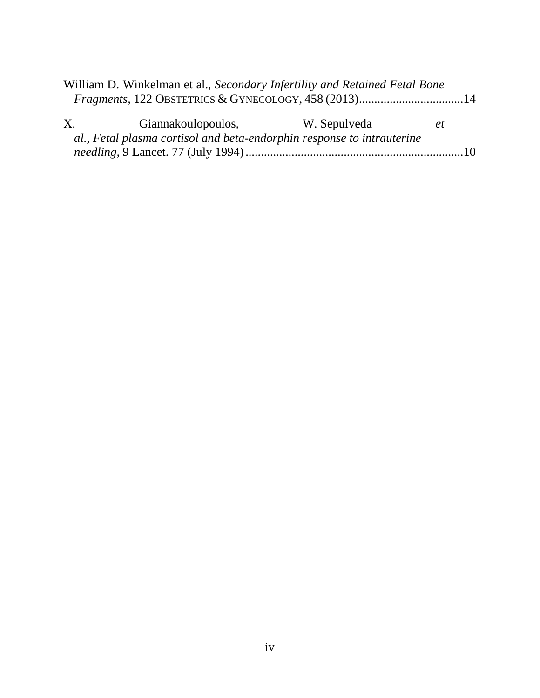|             | William D. Winkelman et al., Secondary Infertility and Retained Fetal Bone |              |    |
|-------------|----------------------------------------------------------------------------|--------------|----|
|             | Fragments, 122 OBSTETRICS & GYNECOLOGY, 458 (2013)14                       |              |    |
| $X_{\cdot}$ | Giannakoulopoulos,                                                         | W. Sepulveda | et |
|             | al., Fetal plasma cortisol and beta-endorphin response to intrauterine     |              |    |
|             |                                                                            |              |    |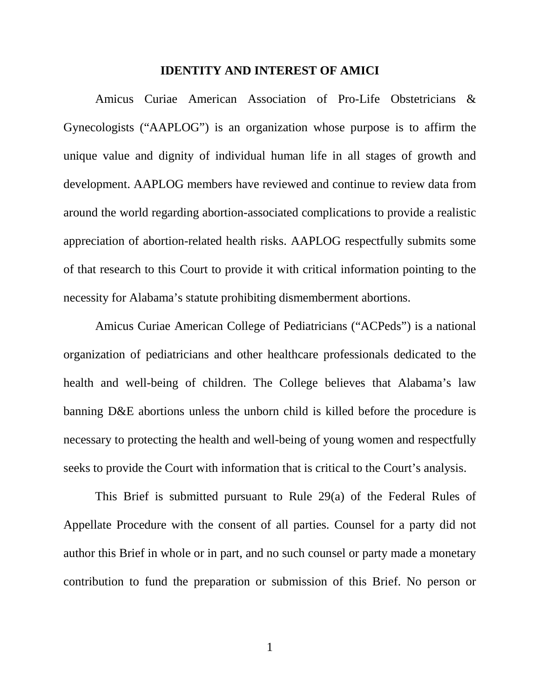#### **IDENTITY AND INTEREST OF AMICI**

Amicus Curiae American Association of Pro-Life Obstetricians & Gynecologists ("AAPLOG") is an organization whose purpose is to affirm the unique value and dignity of individual human life in all stages of growth and development. AAPLOG members have reviewed and continue to review data from around the world regarding abortion-associated complications to provide a realistic appreciation of abortion-related health risks. AAPLOG respectfully submits some of that research to this Court to provide it with critical information pointing to the necessity for Alabama's statute prohibiting dismemberment abortions.

Amicus Curiae American College of Pediatricians ("ACPeds") is a national organization of pediatricians and other healthcare professionals dedicated to the health and well-being of children. The College believes that Alabama's law banning D&E abortions unless the unborn child is killed before the procedure is necessary to protecting the health and well-being of young women and respectfully seeks to provide the Court with information that is critical to the Court's analysis.

This Brief is submitted pursuant to Rule 29(a) of the Federal Rules of Appellate Procedure with the consent of all parties. Counsel for a party did not author this Brief in whole or in part, and no such counsel or party made a monetary contribution to fund the preparation or submission of this Brief. No person or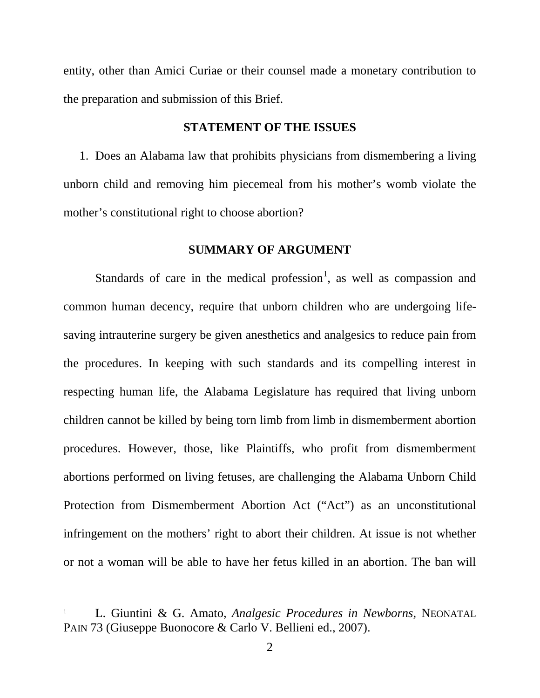entity, other than Amici Curiae or their counsel made a monetary contribution to the preparation and submission of this Brief.

### **STATEMENT OF THE ISSUES**

1. Does an Alabama law that prohibits physicians from dismembering a living unborn child and removing him piecemeal from his mother's womb violate the mother's constitutional right to choose abortion?

### **SUMMARY OF ARGUMENT**

Standards of care in the medical profession<sup>[1](#page-9-0)</sup>, as well as compassion and common human decency, require that unborn children who are undergoing lifesaving intrauterine surgery be given anesthetics and analgesics to reduce pain from the procedures. In keeping with such standards and its compelling interest in respecting human life, the Alabama Legislature has required that living unborn children cannot be killed by being torn limb from limb in dismemberment abortion procedures. However, those, like Plaintiffs, who profit from dismemberment abortions performed on living fetuses, are challenging the Alabama Unborn Child Protection from Dismemberment Abortion Act ("Act") as an unconstitutional infringement on the mothers' right to abort their children. At issue is not whether or not a woman will be able to have her fetus killed in an abortion. The ban will

<span id="page-9-0"></span> <sup>1</sup> L. Giuntini & G. Amato, *Analgesic Procedures in Newborns*, NEONATAL PAIN 73 (Giuseppe Buonocore & Carlo V. Bellieni ed., 2007).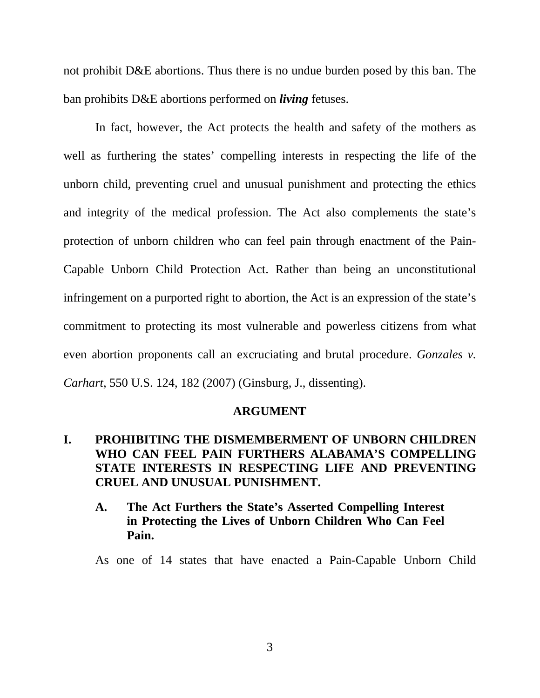not prohibit D&E abortions. Thus there is no undue burden posed by this ban. The ban prohibits D&E abortions performed on *living* fetuses.

In fact, however, the Act protects the health and safety of the mothers as well as furthering the states' compelling interests in respecting the life of the unborn child, preventing cruel and unusual punishment and protecting the ethics and integrity of the medical profession. The Act also complements the state's protection of unborn children who can feel pain through enactment of the Pain-Capable Unborn Child Protection Act. Rather than being an unconstitutional infringement on a purported right to abortion, the Act is an expression of the state's commitment to protecting its most vulnerable and powerless citizens from what even abortion proponents call an excruciating and brutal procedure. *Gonzales v. Carhart,* 550 U.S. 124, 182 (2007) (Ginsburg, J., dissenting).

#### **ARGUMENT**

# **I. PROHIBITING THE DISMEMBERMENT OF UNBORN CHILDREN WHO CAN FEEL PAIN FURTHERS ALABAMA'S COMPELLING STATE INTERESTS IN RESPECTING LIFE AND PREVENTING CRUEL AND UNUSUAL PUNISHMENT.**

**A. The Act Furthers the State's Asserted Compelling Interest in Protecting the Lives of Unborn Children Who Can Feel Pain.** 

As one of 14 states that have enacted a Pain-Capable Unborn Child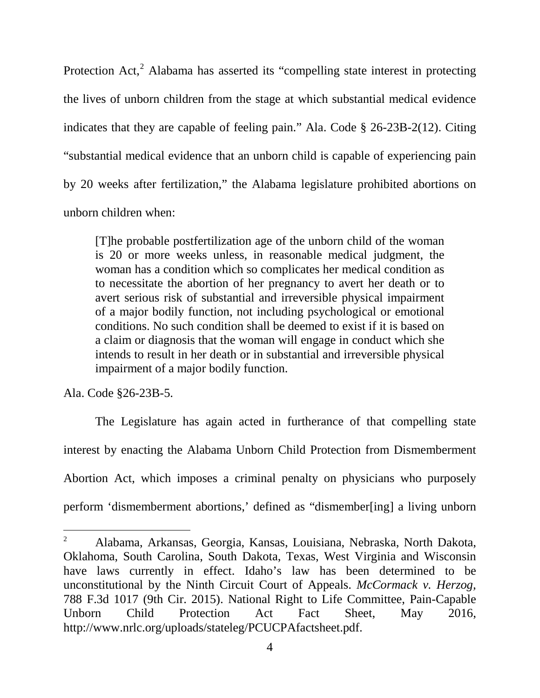Protection Act,<sup>[2](#page-11-0)</sup> Alabama has asserted its "compelling state interest in protecting the lives of unborn children from the stage at which substantial medical evidence indicates that they are capable of feeling pain." Ala. Code § 26-23B-2(12). Citing "substantial medical evidence that an unborn child is capable of experiencing pain by 20 weeks after fertilization," the Alabama legislature prohibited abortions on unborn children when:

[T]he probable postfertilization age of the unborn child of the woman is 20 or more weeks unless, in reasonable medical judgment, the woman has a condition which so complicates her medical condition as to necessitate the abortion of her pregnancy to avert her death or to avert serious risk of substantial and irreversible physical impairment of a major bodily function, not including psychological or emotional conditions. No such condition shall be deemed to exist if it is based on a claim or diagnosis that the woman will engage in conduct which she intends to result in her death or in substantial and irreversible physical impairment of a major bodily function.

Ala. Code §26-23B-5.

The Legislature has again acted in furtherance of that compelling state interest by enacting the Alabama Unborn Child Protection from Dismemberment Abortion Act, which imposes a criminal penalty on physicians who purposely perform 'dismemberment abortions,' defined as "dismember[ing] a living unborn

<span id="page-11-0"></span> <sup>2</sup> Alabama, Arkansas, Georgia, Kansas, Louisiana, Nebraska, North Dakota, Oklahoma, South Carolina, South Dakota, Texas, West Virginia and Wisconsin have laws currently in effect. Idaho's law has been determined to be unconstitutional by the Ninth Circuit Court of Appeals. *McCormack v. Herzog,* 788 F.3d 1017 (9th Cir. 2015). National Right to Life Committee, Pain-Capable Unborn Child Protection Act Fact Sheet, May 2016, http://www.nrlc.org/uploads/stateleg/PCUCPAfactsheet.pdf.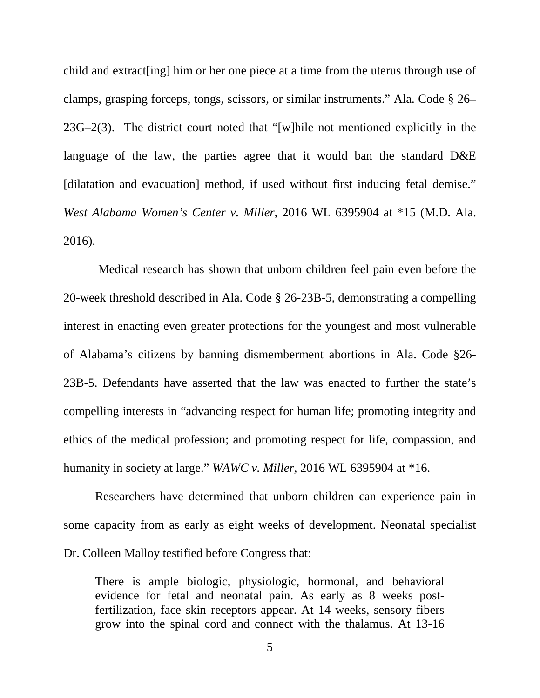child and extract[ing] him or her one piece at a time from the uterus through use of clamps, grasping forceps, tongs, scissors, or similar instruments." Ala. Code § 26– 23G–2(3). The district court noted that "[w]hile not mentioned explicitly in the language of the law, the parties agree that it would ban the standard D&E [dilatation and evacuation] method, if used without first inducing fetal demise." *West Alabama Women's Center v. Miller,* 2016 WL 6395904 at \*15 (M.D. Ala. 2016).

Medical research has shown that unborn children feel pain even before the 20-week threshold described in Ala. Code § 26-23B-5, demonstrating a compelling interest in enacting even greater protections for the youngest and most vulnerable of Alabama's citizens by banning dismemberment abortions in Ala. Code §26- 23B-5. Defendants have asserted that the law was enacted to further the state's compelling interests in "advancing respect for human life; promoting integrity and ethics of the medical profession; and promoting respect for life, compassion, and humanity in society at large." *WAWC v. Miller,* 2016 WL 6395904 at \*16.

Researchers have determined that unborn children can experience pain in some capacity from as early as eight weeks of development. Neonatal specialist Dr. Colleen Malloy testified before Congress that:

There is ample biologic, physiologic, hormonal, and behavioral evidence for fetal and neonatal pain. As early as 8 weeks postfertilization, face skin receptors appear. At 14 weeks, sensory fibers grow into the spinal cord and connect with the thalamus. At 13-16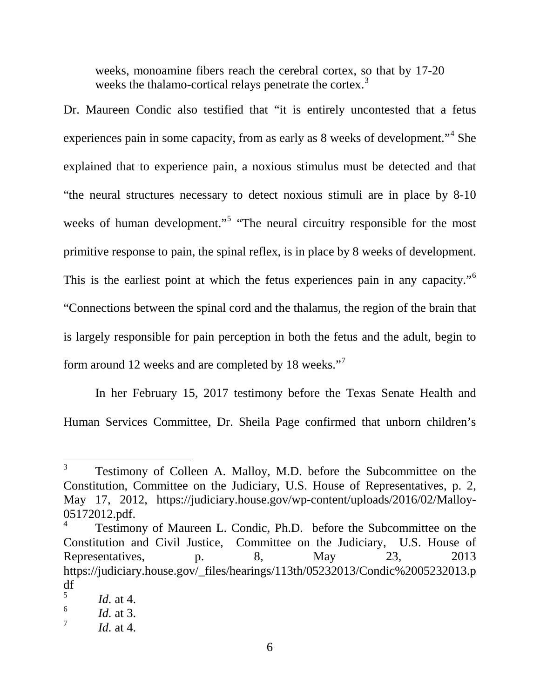weeks, monoamine fibers reach the cerebral cortex, so that by 17-20 weeks the thalamo-cortical relays penetrate the cortex.<sup>[3](#page-13-0)</sup>

Dr. Maureen Condic also testified that "it is entirely uncontested that a fetus experiences pain in some capacity, from as early as 8 weeks of development."[4](#page-13-1) She explained that to experience pain, a noxious stimulus must be detected and that "the neural structures necessary to detect noxious stimuli are in place by 8-10 weeks of human development."<sup>[5](#page-13-2)</sup> "The neural circuitry responsible for the most primitive response to pain, the spinal reflex, is in place by 8 weeks of development. This is the earliest point at which the fetus experiences pain in any capacity."[6](#page-13-3) "Connections between the spinal cord and the thalamus, the region of the brain that is largely responsible for pain perception in both the fetus and the adult, begin to form around 12 weeks and are completed by 18 weeks."[7](#page-13-4)

In her February 15, 2017 testimony before the Texas Senate Health and Human Services Committee, Dr. Sheila Page confirmed that unborn children's

<span id="page-13-0"></span><sup>&</sup>lt;sup>3</sup> Testimony of Colleen A. Malloy, M.D. before the Subcommittee on the Constitution, Committee on the Judiciary, U.S. House of Representatives, p. 2, May 17, 2012, https://judiciary.house.gov/wp-content/uploads/2016/02/Malloy-05172012.pdf. <sup>4</sup> Testimony of Maureen L. Condic, Ph.D. before the Subcommittee on the

<span id="page-13-1"></span>Constitution and Civil Justice, Committee on the Judiciary, U.S. House of Representatives, p. 8, May 23, 2013 https://judiciary.house.gov/\_files/hearings/113th/05232013/Condic%2005232013.p  $\frac{df}{5}$ 

<span id="page-13-3"></span><span id="page-13-2"></span><sup>&</sup>lt;sup>5</sup> *Id.* at 4.<br><sup>6</sup> *Id.* at 3.<br>*7 Id.* at 4.

<span id="page-13-4"></span>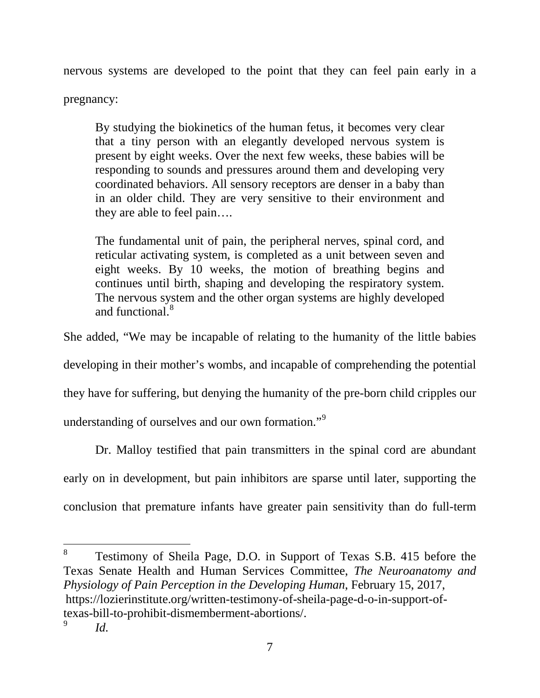nervous systems are developed to the point that they can feel pain early in a

pregnancy:

By studying the biokinetics of the human fetus, it becomes very clear that a tiny person with an elegantly developed nervous system is present by eight weeks. Over the next few weeks, these babies will be responding to sounds and pressures around them and developing very coordinated behaviors. All sensory receptors are denser in a baby than in an older child. They are very sensitive to their environment and they are able to feel pain….

The fundamental unit of pain, the peripheral nerves, spinal cord, and reticular activating system, is completed as a unit between seven and eight weeks. By 10 weeks, the motion of breathing begins and continues until birth, shaping and developing the respiratory system. The nervous system and the other organ systems are highly developed and functional.<sup>[8](#page-14-0)</sup>

She added, "We may be incapable of relating to the humanity of the little babies

developing in their mother's wombs, and incapable of comprehending the potential

they have for suffering, but denying the humanity of the pre-born child cripples our

understanding of ourselves and our own formation."[9](#page-14-1)

Dr. Malloy testified that pain transmitters in the spinal cord are abundant early on in development, but pain inhibitors are sparse until later, supporting the conclusion that premature infants have greater pain sensitivity than do full-term

<span id="page-14-1"></span><span id="page-14-0"></span> 8 Testimony of Sheila Page, D.O. in Support of Texas S.B. 415 before the Texas Senate Health and Human Services Committee, *The Neuroanatomy and Physiology of Pain Perception in the Developing Human*, February 15, 2017, https://lozierinstitute.org/written-testimony-of-sheila-page-d-o-in-support-oftexas-bill-to-prohibit-dismemberment-abortions/. <sup>9</sup> *Id.*

<sup>7</sup>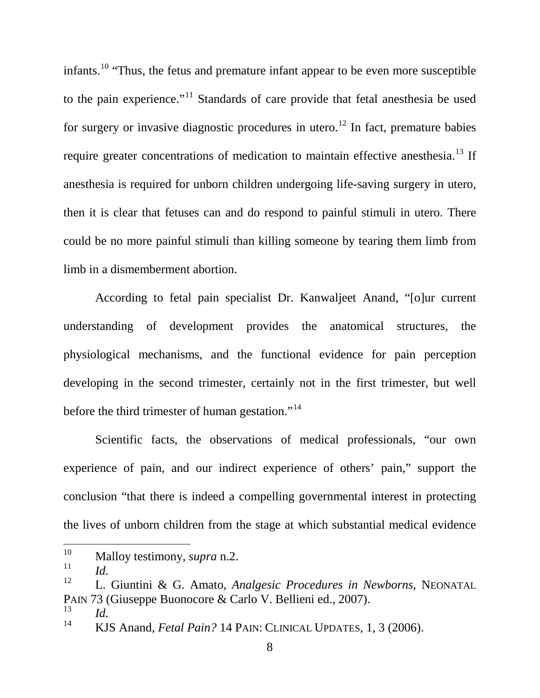infants.[10](#page-15-0) "Thus, the fetus and premature infant appear to be even more susceptible to the pain experience."<sup>[11](#page-15-1)</sup> Standards of care provide that fetal anesthesia be used for surgery or invasive diagnostic procedures in utero.<sup>[12](#page-15-2)</sup> In fact, premature babies require greater concentrations of medication to maintain effective anesthesia.<sup>[13](#page-15-3)</sup> If anesthesia is required for unborn children undergoing life-saving surgery in utero, then it is clear that fetuses can and do respond to painful stimuli in utero. There could be no more painful stimuli than killing someone by tearing them limb from limb in a dismemberment abortion.

According to fetal pain specialist Dr. Kanwaljeet Anand, "[o]ur current understanding of development provides the anatomical structures, the physiological mechanisms, and the functional evidence for pain perception developing in the second trimester, certainly not in the first trimester, but well before the third trimester of human gestation."<sup>[14](#page-15-4)</sup>

Scientific facts, the observations of medical professionals, "our own experience of pain, and our indirect experience of others' pain," support the conclusion "that there is indeed a compelling governmental interest in protecting the lives of unborn children from the stage at which substantial medical evidence

<span id="page-15-0"></span><sup>&</sup>lt;sup>10</sup> Malloy testimony, *supra* n.2.

<span id="page-15-1"></span> $\frac{11}{12}$  *Id.* 

<span id="page-15-2"></span><sup>12</sup> L. Giuntini & G. Amato, *Analgesic Procedures in Newborns*, NEONATAL PAIN 73 (Giuseppe Buonocore & Carlo V. Bellieni ed., 2007).<br><sup>13</sup> *Id.*<br><sup>14</sup> *KIS Apped Estal Britz*<sup>2</sup> 14 BAN: GANIGAL UPP 1758 1

<span id="page-15-3"></span>

<span id="page-15-4"></span><sup>14</sup> KJS Anand, *Fetal Pain?* 14 PAIN: CLINICAL UPDATES, 1, 3 (2006).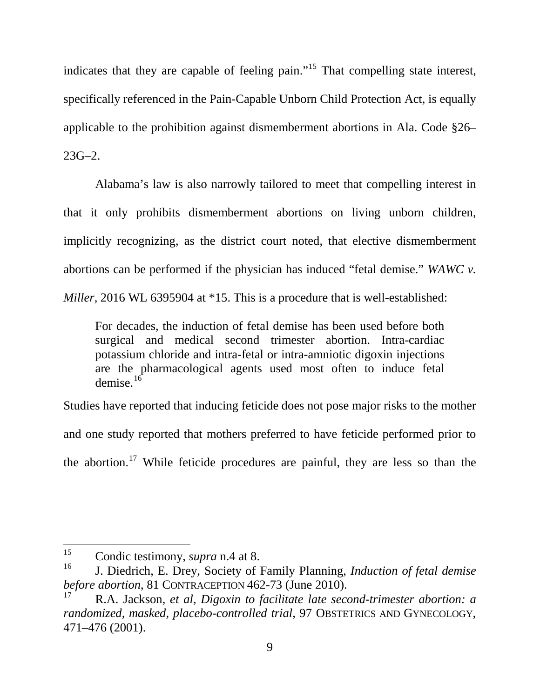indicates that they are capable of feeling pain."[15](#page-16-0) That compelling state interest, specifically referenced in the Pain-Capable Unborn Child Protection Act, is equally applicable to the prohibition against dismemberment abortions in Ala. Code §26– 23G–2.

Alabama's law is also narrowly tailored to meet that compelling interest in that it only prohibits dismemberment abortions on living unborn children, implicitly recognizing, as the district court noted, that elective dismemberment abortions can be performed if the physician has induced "fetal demise." *WAWC v. Miller*, 2016 WL 6395904 at \*15. This is a procedure that is well-established:

For decades, the induction of fetal demise has been used before both surgical and medical second trimester abortion. Intra-cardiac potassium chloride and intra-fetal or intra-amniotic digoxin injections are the pharmacological agents used most often to induce fetal demise. $^{16}$  $^{16}$  $^{16}$ 

Studies have reported that inducing feticide does not pose major risks to the mother and one study reported that mothers preferred to have feticide performed prior to the abortion.<sup>[17](#page-16-2)</sup> While feticide procedures are painful, they are less so than the

<span id="page-16-0"></span><sup>&</sup>lt;sup>15</sup> Condic testimony, *supra* n.4 at 8.

<span id="page-16-1"></span><sup>16</sup> J. Diedrich, E. Drey, Society of Family Planning, *Induction of fetal demise before abortion*, 81 CONTRACEPTION 462-73 (June 2010).

<span id="page-16-2"></span><sup>17</sup> R.A. Jackson, *et al, Digoxin to facilitate late second-trimester abortion: a randomized, masked, placebo-controlled trial,* 97 OBSTETRICS AND GYNECOLOGY, 471–476 (2001).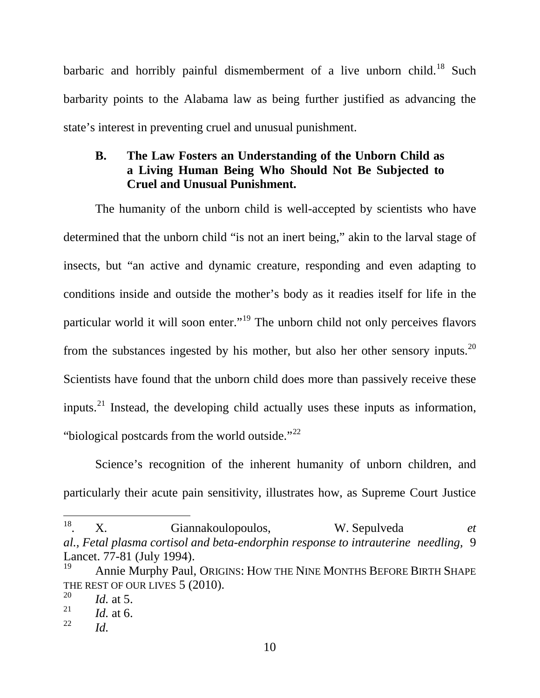barbaric and horribly painful dismemberment of a live unborn child.<sup>[18](#page-17-0)</sup> Such barbarity points to the Alabama law as being further justified as advancing the state's interest in preventing cruel and unusual punishment.

# **B. The Law Fosters an Understanding of the Unborn Child as a Living Human Being Who Should Not Be Subjected to Cruel and Unusual Punishment.**

The humanity of the unborn child is well-accepted by scientists who have determined that the unborn child "is not an inert being," akin to the larval stage of insects, but "an active and dynamic creature, responding and even adapting to conditions inside and outside the mother's body as it readies itself for life in the particular world it will soon enter."[19](#page-17-1) The unborn child not only perceives flavors from the substances ingested by his mother, but also her other sensory inputs.<sup>[20](#page-17-2)</sup> Scientists have found that the unborn child does more than passively receive these inputs.<sup>[21](#page-17-3)</sup> Instead, the developing child actually uses these inputs as information, "biological postcards from the world outside."<sup>[22](#page-17-4)</sup>

Science's recognition of the inherent humanity of unborn children, and particularly their acute pain sensitivity, illustrates how, as Supreme Court Justice

<span id="page-17-0"></span> <sup>18.</sup> X. Giannakoulopoulos, W. Sepulveda *et al., Fetal plasma cortisol and beta-endorphin response to intrauterine needling,* 9 Lancet. 77-81 (July 1994).<br><sup>19</sup> Annie Murphy Paul, Origins: How The Nine Months Before Birth Shape

<span id="page-17-1"></span>THE REST OF OUR LIVES 5 (2010).<br>
<sup>20</sup> *Id.* at 5.<br>
<sup>21</sup> *Id.* at 6.

<span id="page-17-2"></span>

<span id="page-17-3"></span> $\frac{21}{22}$  *Id.* at 6.

<span id="page-17-4"></span>*Id.*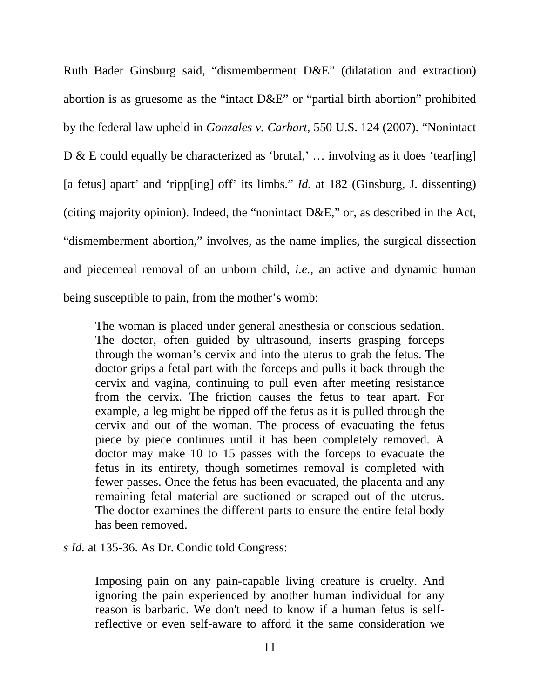Ruth Bader Ginsburg said, "dismemberment D&E" (dilatation and extraction) abortion is as gruesome as the "intact D&E" or "partial birth abortion" prohibited by the federal law upheld in *Gonzales v. Carhart,* 550 U.S. 124 (2007). "Nonintact D & E could equally be characterized as 'brutal,' … involving as it does 'tear[ing] [a fetus] apart' and 'ripp[ing] off' its limbs." *Id.* at 182 (Ginsburg, J. dissenting) (citing majority opinion). Indeed, the "nonintact D&E," or, as described in the Act, "dismemberment abortion," involves, as the name implies, the surgical dissection and piecemeal removal of an unborn child, *i.e.,* an active and dynamic human being susceptible to pain, from the mother's womb:

The woman is placed under general anesthesia or conscious sedation. The doctor, often guided by ultrasound, inserts grasping forceps through the woman's cervix and into the uterus to grab the fetus. The doctor grips a fetal part with the forceps and pulls it back through the cervix and vagina, continuing to pull even after meeting resistance from the cervix. The friction causes the fetus to tear apart. For example, a leg might be ripped off the fetus as it is pulled through the cervix and out of the woman. The process of evacuating the fetus piece by piece continues until it has been completely removed. A doctor may make 10 to 15 passes with the forceps to evacuate the fetus in its entirety, though sometimes removal is completed with fewer passes. Once the fetus has been evacuated, the placenta and any remaining fetal material are suctioned or scraped out of the uterus. The doctor examines the different parts to ensure the entire fetal body has been removed.

*s Id.* at 135-36. As Dr. Condic told Congress:

Imposing pain on any pain-capable living creature is cruelty. And ignoring the pain experienced by another human individual for any reason is barbaric. We don't need to know if a human fetus is selfreflective or even self-aware to afford it the same consideration we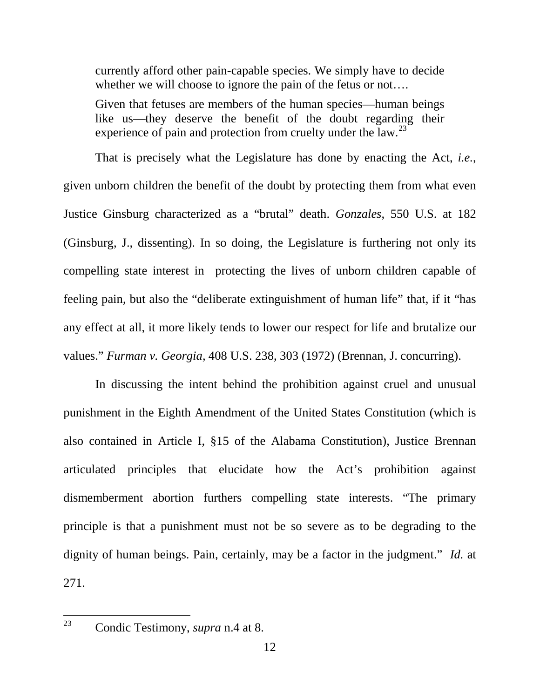currently afford other pain-capable species. We simply have to decide whether we will choose to ignore the pain of the fetus or not....

Given that fetuses are members of the human species—human beings like us—they deserve the benefit of the doubt regarding their experience of pain and protection from cruelty under the  $law.<sup>23</sup>$  $law.<sup>23</sup>$  $law.<sup>23</sup>$ 

That is precisely what the Legislature has done by enacting the Act, *i.e.*, given unborn children the benefit of the doubt by protecting them from what even Justice Ginsburg characterized as a "brutal" death. *Gonzales*, 550 U.S. at 182 (Ginsburg, J., dissenting). In so doing, the Legislature is furthering not only its compelling state interest in protecting the lives of unborn children capable of feeling pain, but also the "deliberate extinguishment of human life" that, if it "has any effect at all, it more likely tends to lower our respect for life and brutalize our values." *Furman v. Georgia,* 408 U.S. 238, 303 (1972) (Brennan, J. concurring).

In discussing the intent behind the prohibition against cruel and unusual punishment in the Eighth Amendment of the United States Constitution (which is also contained in Article I, §15 of the Alabama Constitution), Justice Brennan articulated principles that elucidate how the Act's prohibition against dismemberment abortion furthers compelling state interests. "The primary principle is that a punishment must not be so severe as to be degrading to the dignity of human beings. Pain, certainly, may be a factor in the judgment." *Id.* at 271.

<span id="page-19-0"></span> <sup>23</sup> Condic Testimony, *supra* n.4 at 8.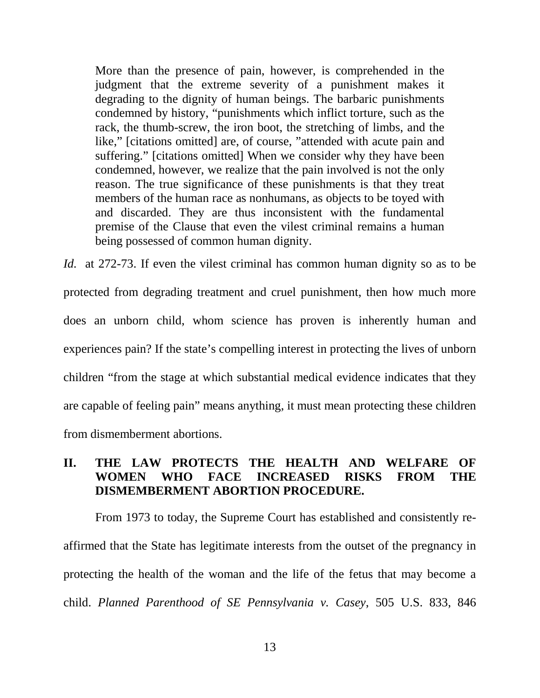More than the presence of pain, however, is comprehended in the judgment that the extreme severity of a punishment makes it degrading to the dignity of human beings. The barbaric punishments condemned by history, "punishments which inflict torture, such as the rack, the thumb-screw, the iron boot, the stretching of limbs, and the like," [citations omitted] are, of course, "attended with acute pain and suffering." [citations omitted] When we consider why they have been condemned, however, we realize that the pain involved is not the only reason. The true significance of these punishments is that they treat members of the human race as nonhumans, as objects to be toyed with and discarded. They are thus inconsistent with the fundamental premise of the Clause that even the vilest criminal remains a human being possessed of common human dignity.

*Id.* at 272-73. If even the vilest criminal has common human dignity so as to be protected from degrading treatment and cruel punishment, then how much more does an unborn child, whom science has proven is inherently human and experiences pain? If the state's compelling interest in protecting the lives of unborn children "from the stage at which substantial medical evidence indicates that they are capable of feeling pain" means anything, it must mean protecting these children from dismemberment abortions.

# **II. THE LAW PROTECTS THE HEALTH AND WELFARE OF WOMEN WHO FACE INCREASED RISKS FROM THE DISMEMBERMENT ABORTION PROCEDURE.**

From 1973 to today, the Supreme Court has established and consistently reaffirmed that the State has legitimate interests from the outset of the pregnancy in protecting the health of the woman and the life of the fetus that may become a child. *Planned Parenthood of SE Pennsylvania v. Casey*, 505 U.S. 833, 846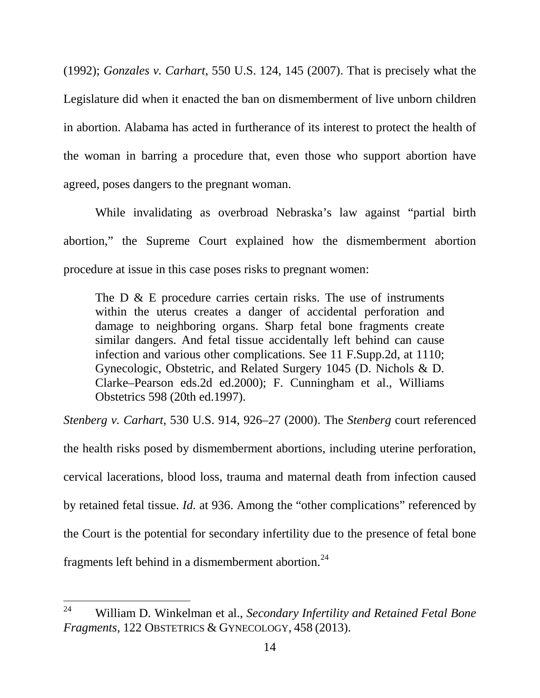(1992); *Gonzales v. Carhart*, 550 U.S. 124, 145 (2007). That is precisely what the Legislature did when it enacted the ban on dismemberment of live unborn children in abortion. Alabama has acted in furtherance of its interest to protect the health of the woman in barring a procedure that, even those who support abortion have agreed, poses dangers to the pregnant woman.

While invalidating as overbroad Nebraska's law against "partial birth abortion," the Supreme Court explained how the dismemberment abortion procedure at issue in this case poses risks to pregnant women:

The D & E procedure carries certain risks. The use of instruments within the uterus creates a danger of accidental perforation and damage to neighboring organs. Sharp fetal bone fragments create similar dangers. And fetal tissue accidentally left behind can cause infection and various other complications. See 11 F.Supp.2d, at 1110; Gynecologic, Obstetric, and Related Surgery 1045 (D. Nichols & D. Clarke–Pearson eds.2d ed.2000); F. Cunningham et al., Williams Obstetrics 598 (20th ed.1997).

*Stenberg v. Carhart*, 530 U.S. 914, 926–27 (2000). The *Stenberg* court referenced the health risks posed by dismemberment abortions, including uterine perforation, cervical lacerations, blood loss, trauma and maternal death from infection caused by retained fetal tissue. *Id.* at 936. Among the "other complications" referenced by the Court is the potential for secondary infertility due to the presence of fetal bone fragments left behind in a dismemberment abortion.<sup>[24](#page-21-0)</sup>

<span id="page-21-0"></span> <sup>24</sup> William D. Winkelman et al., *Secondary Infertility and Retained Fetal Bone Fragments,* 122 OBSTETRICS & GYNECOLOGY, 458 (2013).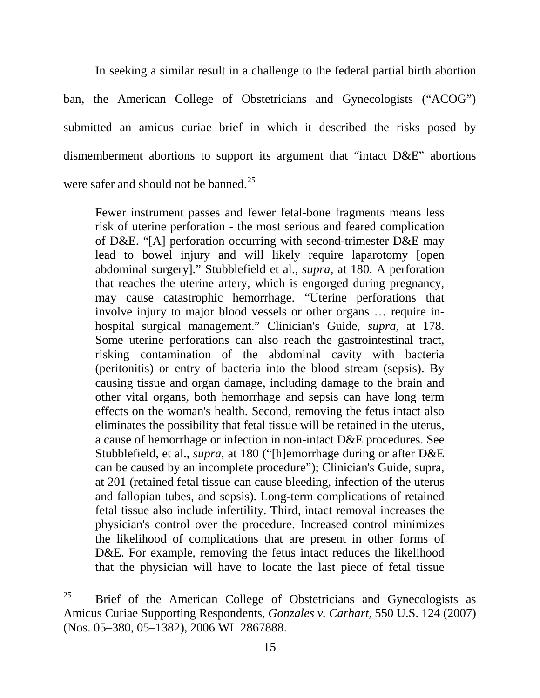In seeking a similar result in a challenge to the federal partial birth abortion ban, the American College of Obstetricians and Gynecologists ("ACOG") submitted an amicus curiae brief in which it described the risks posed by dismemberment abortions to support its argument that "intact D&E" abortions were safer and should not be banned.<sup>[25](#page-22-0)</sup>

Fewer instrument passes and fewer fetal-bone fragments means less risk of uterine perforation - the most serious and feared complication of D&E. "[A] perforation occurring with second-trimester D&E may lead to bowel injury and will likely require laparotomy [open abdominal surgery]." Stubblefield et al., *supra*, at 180. A perforation that reaches the uterine artery, which is engorged during pregnancy, may cause catastrophic hemorrhage. "Uterine perforations that involve injury to major blood vessels or other organs … require inhospital surgical management." Clinician's Guide, *supra*, at 178. Some uterine perforations can also reach the gastrointestinal tract, risking contamination of the abdominal cavity with bacteria (peritonitis) or entry of bacteria into the blood stream (sepsis). By causing tissue and organ damage, including damage to the brain and other vital organs, both hemorrhage and sepsis can have long term effects on the woman's health. Second, removing the fetus intact also eliminates the possibility that fetal tissue will be retained in the uterus, a cause of hemorrhage or infection in non-intact D&E procedures. See Stubblefield, et al., *supra*, at 180 ("[h]emorrhage during or after D&E can be caused by an incomplete procedure"); Clinician's Guide, supra, at 201 (retained fetal tissue can cause bleeding, infection of the uterus and fallopian tubes, and sepsis). Long-term complications of retained fetal tissue also include infertility. Third, intact removal increases the physician's control over the procedure. Increased control minimizes the likelihood of complications that are present in other forms of D&E. For example, removing the fetus intact reduces the likelihood that the physician will have to locate the last piece of fetal tissue

<span id="page-22-0"></span> $25$  Brief of the American College of Obstetricians and Gynecologists as Amicus Curiae Supporting Respondents, *Gonzales v. Carhart,* 550 U.S. 124 (2007) (Nos. 05–380, 05–1382), 2006 WL 2867888.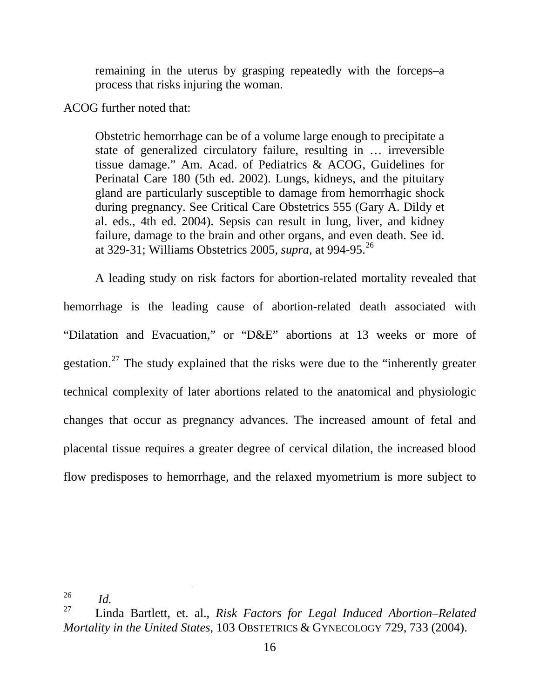remaining in the uterus by grasping repeatedly with the forceps–a process that risks injuring the woman.

ACOG further noted that:

Obstetric hemorrhage can be of a volume large enough to precipitate a state of generalized circulatory failure, resulting in … irreversible tissue damage." Am. Acad. of Pediatrics & ACOG, Guidelines for Perinatal Care 180 (5th ed. 2002). Lungs, kidneys, and the pituitary gland are particularly susceptible to damage from hemorrhagic shock during pregnancy. See Critical Care Obstetrics 555 (Gary A. Dildy et al. eds., 4th ed. 2004). Sepsis can result in lung, liver, and kidney failure, damage to the brain and other organs, and even death. See id. at 329-31; Williams Obstetrics 2005, *supra*, at 994-95.[26](#page-23-0)

A leading study on risk factors for abortion-related mortality revealed that hemorrhage is the leading cause of abortion-related death associated with "Dilatation and Evacuation," or "D&E" abortions at 13 weeks or more of gestation.[27](#page-23-1) The study explained that the risks were due to the "inherently greater technical complexity of later abortions related to the anatomical and physiologic changes that occur as pregnancy advances. The increased amount of fetal and placental tissue requires a greater degree of cervical dilation, the increased blood flow predisposes to hemorrhage, and the relaxed myometrium is more subject to

<span id="page-23-0"></span> $rac{26}{27}$  *Id.* 

<span id="page-23-1"></span><sup>27</sup> Linda Bartlett, et. al., *Risk Factors for Legal Induced Abortion–Related Mortality in the United States*, 103 OBSTETRICS & GYNECOLOGY 729, 733 (2004).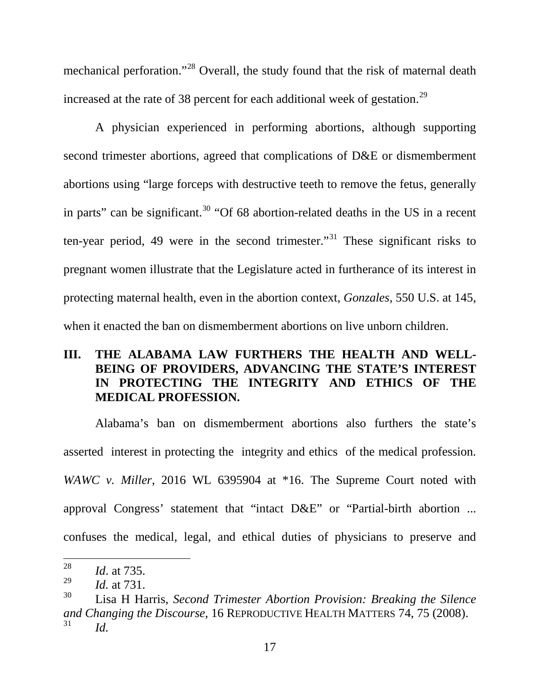mechanical perforation."[28](#page-24-0) Overall, the study found that the risk of maternal death increased at the rate of 38 percent for each additional week of gestation.<sup>[29](#page-24-1)</sup>

A physician experienced in performing abortions, although supporting second trimester abortions, agreed that complications of D&E or dismemberment abortions using "large forceps with destructive teeth to remove the fetus, generally in parts" can be significant. $30$  "Of 68 abortion-related deaths in the US in a recent ten-year period, 49 were in the second trimester.<sup>[31](#page-24-3)</sup> These significant risks to pregnant women illustrate that the Legislature acted in furtherance of its interest in protecting maternal health, even in the abortion context, *Gonzales,* 550 U.S. at 145, when it enacted the ban on dismemberment abortions on live unborn children.

# **III. THE ALABAMA LAW FURTHERS THE HEALTH AND WELL-BEING OF PROVIDERS, ADVANCING THE STATE'S INTEREST IN PROTECTING THE INTEGRITY AND ETHICS OF THE MEDICAL PROFESSION.**

Alabama's ban on dismemberment abortions also furthers the state's asserted interest in protecting the integrity and ethics of the medical profession. *WAWC v. Miller,* 2016 WL 6395904 at \*16. The Supreme Court noted with approval Congress' statement that "intact D&E" or "Partial-birth abortion ... confuses the medical, legal, and ethical duties of physicians to preserve and

<span id="page-24-0"></span> $\frac{28}{29}$  *Id.* at 735.

<span id="page-24-1"></span><sup>&</sup>lt;sup>29</sup> *Id.* at 731.

<span id="page-24-3"></span><span id="page-24-2"></span><sup>30</sup> Lisa H Harris, *Second Trimester Abortion Provision: Breaking the Silence and Changing the Discourse*, 16 REPRODUCTIVE HEALTH MATTERS 74, 75 (2008). <sup>31</sup> *Id.*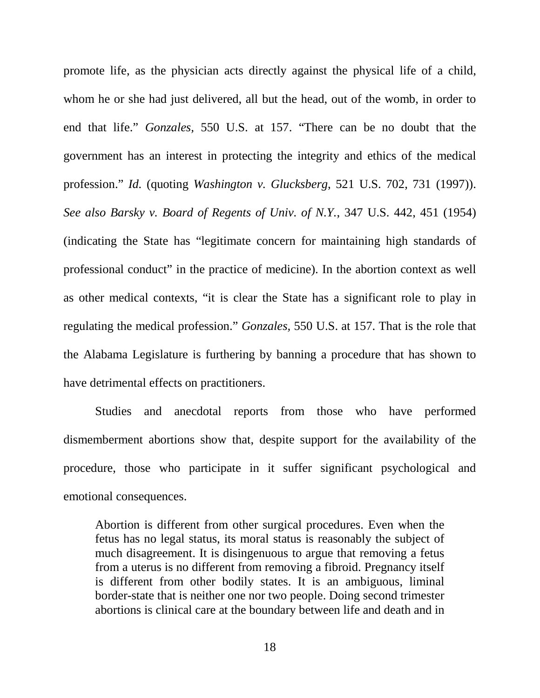promote life, as the physician acts directly against the physical life of a child, whom he or she had just delivered, all but the head, out of the womb, in order to end that life." *Gonzales,* 550 U.S. at 157. "There can be no doubt that the government has an interest in protecting the integrity and ethics of the medical profession." *Id.* (quoting *Washington v. Glucksberg*, 521 U.S. 702, 731 (1997)). *See also Barsky v. Board of Regents of Univ. of N.Y.*, 347 U.S. 442, 451 (1954) (indicating the State has "legitimate concern for maintaining high standards of professional conduct" in the practice of medicine). In the abortion context as well as other medical contexts, "it is clear the State has a significant role to play in regulating the medical profession." *Gonzales,* 550 U.S. at 157. That is the role that the Alabama Legislature is furthering by banning a procedure that has shown to have detrimental effects on practitioners.

Studies and anecdotal reports from those who have performed dismemberment abortions show that, despite support for the availability of the procedure, those who participate in it suffer significant psychological and emotional consequences.

Abortion is different from other surgical procedures. Even when the fetus has no legal status, its moral status is reasonably the subject of much disagreement. It is disingenuous to argue that removing a fetus from a uterus is no different from removing a fibroid. Pregnancy itself is different from other bodily states. It is an ambiguous, liminal border-state that is neither one nor two people. Doing second trimester abortions is clinical care at the boundary between life and death and in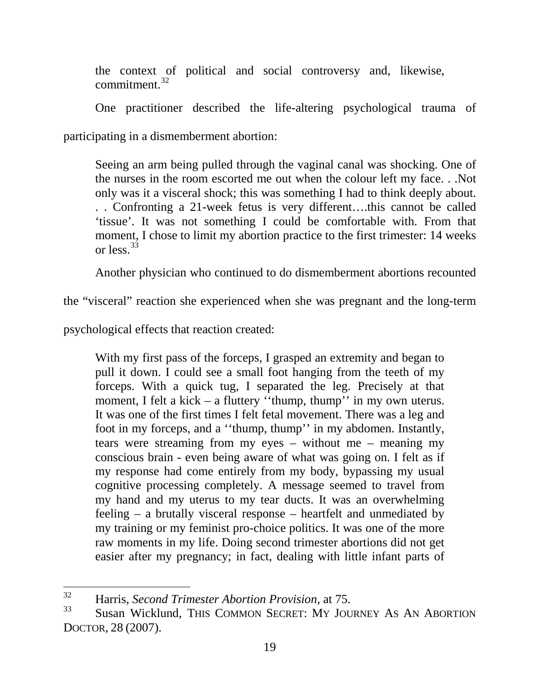the context of political and social controversy and, likewise, commitment $32$ 

One practitioner described the life-altering psychological trauma of

participating in a dismemberment abortion:

Seeing an arm being pulled through the vaginal canal was shocking. One of the nurses in the room escorted me out when the colour left my face. . .Not only was it a visceral shock; this was something I had to think deeply about. . . Confronting a 21-week fetus is very different….this cannot be called 'tissue'. It was not something I could be comfortable with. From that moment, I chose to limit my abortion practice to the first trimester: 14 weeks or less  $33$ 

Another physician who continued to do dismemberment abortions recounted

the "visceral" reaction she experienced when she was pregnant and the long-term

psychological effects that reaction created:

With my first pass of the forceps, I grasped an extremity and began to pull it down. I could see a small foot hanging from the teeth of my forceps. With a quick tug, I separated the leg. Precisely at that moment, I felt a kick – a fluttery "thump, thump" in my own uterus. It was one of the first times I felt fetal movement. There was a leg and foot in my forceps, and a ''thump, thump'' in my abdomen. Instantly, tears were streaming from my eyes – without me – meaning my conscious brain - even being aware of what was going on. I felt as if my response had come entirely from my body, bypassing my usual cognitive processing completely. A message seemed to travel from my hand and my uterus to my tear ducts. It was an overwhelming feeling – a brutally visceral response – heartfelt and unmediated by my training or my feminist pro-choice politics. It was one of the more raw moments in my life. Doing second trimester abortions did not get easier after my pregnancy; in fact, dealing with little infant parts of

<span id="page-26-0"></span> <sup>32</sup> Harris, *Second Trimester Abortion Provision,* at 75.

<span id="page-26-1"></span>Susan Wicklund, THIS COMMON SECRET: MY JOURNEY AS AN ABORTION DOCTOR, 28 (2007).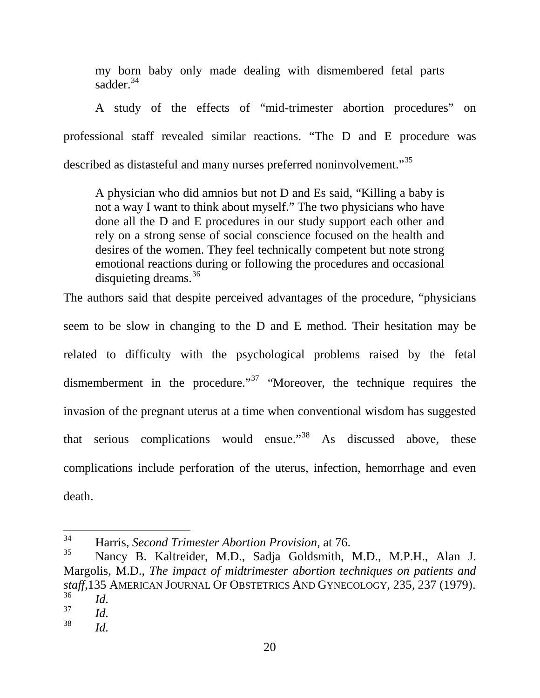my born baby only made dealing with dismembered fetal parts sadder.<sup>[34](#page-27-0)</sup>

A study of the effects of "mid-trimester abortion procedures" on professional staff revealed similar reactions. "The D and E procedure was described as distasteful and many nurses preferred noninvolvement."<sup>[35](#page-27-1)</sup>

A physician who did amnios but not D and Es said, "Killing a baby is not a way I want to think about myself." The two physicians who have done all the D and E procedures in our study support each other and rely on a strong sense of social conscience focused on the health and desires of the women. They feel technically competent but note strong emotional reactions during or following the procedures and occasional disquieting dreams.  $36$ 

The authors said that despite perceived advantages of the procedure, "physicians seem to be slow in changing to the D and E method. Their hesitation may be related to difficulty with the psychological problems raised by the fetal dismemberment in the procedure."<sup>[37](#page-27-3)</sup> "Moreover, the technique requires the invasion of the pregnant uterus at a time when conventional wisdom has suggested that serious complications would ensue."<sup>[38](#page-27-4)</sup> As discussed above, these complications include perforation of the uterus, infection, hemorrhage and even death.

<span id="page-27-0"></span> <sup>34</sup> Harris, *Second Trimester Abortion Provision,* at 76.

<span id="page-27-1"></span><sup>35</sup> Nancy B. Kaltreider, M.D., Sadja Goldsmith, M.D., M.P.H., Alan J. Margolis, M.D., *The impact of midtrimester abortion techniques on patients and staff*,135 AMERICAN JOURNAL OF OBSTETRICS AND GYNECOLOGY, 235, 237 (1979).<br><sup>36</sup> *Id.*<br><sup>37</sup>

<span id="page-27-3"></span><span id="page-27-2"></span> $rac{37}{38}$  *Id.* 

<span id="page-27-4"></span>*Id.*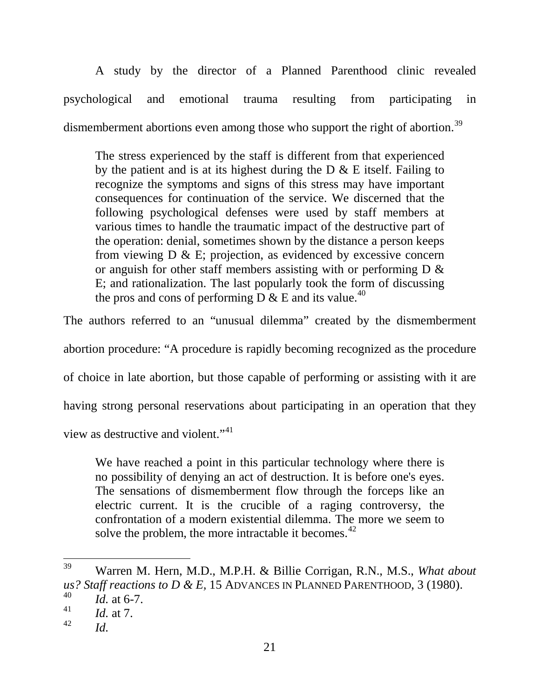A study by the director of a Planned Parenthood clinic revealed psychological and emotional trauma resulting from participating in dismemberment abortions even among those who support the right of abortion.<sup>[39](#page-28-0)</sup>

The stress experienced by the staff is different from that experienced by the patient and is at its highest during the  $D \& E$  itself. Failing to recognize the symptoms and signs of this stress may have important consequences for continuation of the service. We discerned that the following psychological defenses were used by staff members at various times to handle the traumatic impact of the destructive part of the operation: denial, sometimes shown by the distance a person keeps from viewing  $D \& E$ ; projection, as evidenced by excessive concern or anguish for other staff members assisting with or performing  $D \&$ E; and rationalization. The last popularly took the form of discussing the pros and cons of performing D  $\&$  E and its value.<sup>[40](#page-28-1)</sup>

The authors referred to an "unusual dilemma" created by the dismemberment

abortion procedure: "A procedure is rapidly becoming recognized as the procedure

of choice in late abortion, but those capable of performing or assisting with it are

having strong personal reservations about participating in an operation that they

view as destructive and violent."[41](#page-28-2)

We have reached a point in this particular technology where there is no possibility of denying an act of destruction. It is before one's eyes. The sensations of dismemberment flow through the forceps like an electric current. It is the crucible of a raging controversy, the confrontation of a modern existential dilemma. The more we seem to solve the problem, the more intractable it becomes.<sup>[42](#page-28-3)</sup>

<span id="page-28-0"></span> <sup>39</sup> Warren M. Hern, M.D., M.P.H. & Billie Corrigan, R.N., M.S., *What about us? Staff reactions to D & E, 15 ADVANCES IN PLANNED PARENTHOOD, 3 (1980).*<br> *Id.* at 6-7.

<span id="page-28-1"></span>

<span id="page-28-2"></span> $\frac{41}{42}$  *Id.* at 7.

<span id="page-28-3"></span>*Id.*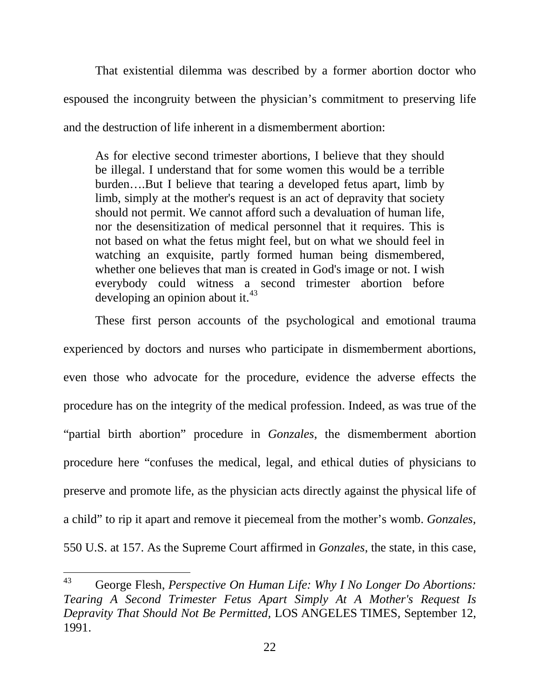That existential dilemma was described by a former abortion doctor who espoused the incongruity between the physician's commitment to preserving life and the destruction of life inherent in a dismemberment abortion:

As for elective second trimester abortions, I believe that they should be illegal. I understand that for some women this would be a terrible burden….But I believe that tearing a developed fetus apart, limb by limb, simply at the mother's request is an act of depravity that society should not permit. We cannot afford such a devaluation of human life, nor the desensitization of medical personnel that it requires. This is not based on what the fetus might feel, but on what we should feel in watching an exquisite, partly formed human being dismembered, whether one believes that man is created in God's image or not. I wish everybody could witness a second trimester abortion before developing an opinion about it. $43$ 

These first person accounts of the psychological and emotional trauma experienced by doctors and nurses who participate in dismemberment abortions, even those who advocate for the procedure, evidence the adverse effects the procedure has on the integrity of the medical profession. Indeed, as was true of the "partial birth abortion" procedure in *Gonzales*, the dismemberment abortion procedure here "confuses the medical, legal, and ethical duties of physicians to preserve and promote life, as the physician acts directly against the physical life of a child" to rip it apart and remove it piecemeal from the mother's womb. *Gonzales,* 550 U.S. at 157. As the Supreme Court affirmed in *Gonzales*, the state, in this case,

<span id="page-29-0"></span> <sup>43</sup> George Flesh, *Perspective On Human Life: Why I No Longer Do Abortions: Tearing A Second Trimester Fetus Apart Simply At A Mother's Request Is Depravity That Should Not Be Permitted,* LOS ANGELES TIMES*,* September 12, 1991.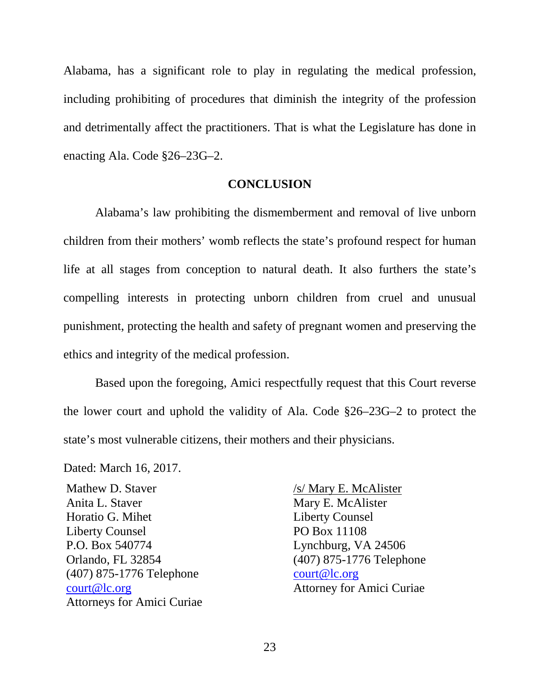Alabama, has a significant role to play in regulating the medical profession, including prohibiting of procedures that diminish the integrity of the profession and detrimentally affect the practitioners. That is what the Legislature has done in enacting Ala. Code §26–23G–2.

#### **CONCLUSION**

Alabama's law prohibiting the dismemberment and removal of live unborn children from their mothers' womb reflects the state's profound respect for human life at all stages from conception to natural death. It also furthers the state's compelling interests in protecting unborn children from cruel and unusual punishment, protecting the health and safety of pregnant women and preserving the ethics and integrity of the medical profession.

Based upon the foregoing, Amici respectfully request that this Court reverse the lower court and uphold the validity of Ala. Code §26–23G–2 to protect the state's most vulnerable citizens, their mothers and their physicians.

Dated: March 16, 2017.

Mathew D. Staver Anita L. Staver Horatio G. Mihet Liberty Counsel P.O. Box 540774 Orlando, FL 32854 (407) 875-1776 Telephone [court@lc.org](mailto:court@lc.org) Attorneys for Amici Curiae

/s/ Mary E. McAlister Mary E. McAlister Liberty Counsel PO Box 11108 Lynchburg, VA 24506 (407) 875-1776 Telephone [court@lc.org](mailto:court@lc.org) Attorney for Amici Curiae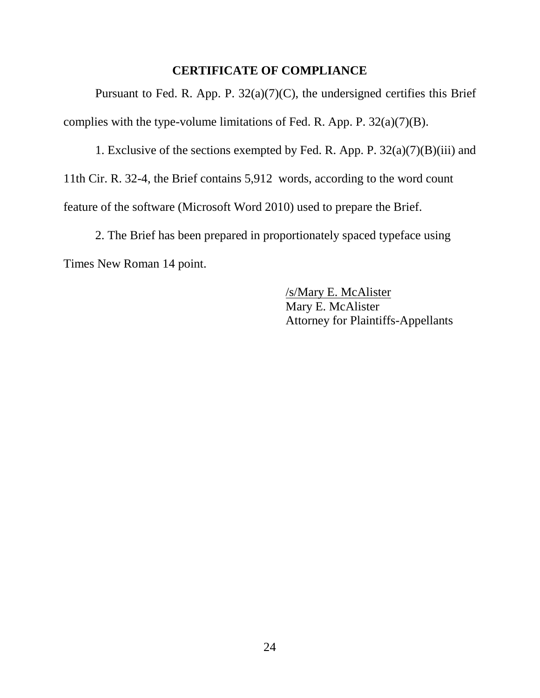## **CERTIFICATE OF COMPLIANCE**

Pursuant to Fed. R. App. P. 32(a)(7)(C), the undersigned certifies this Brief complies with the type-volume limitations of Fed. R. App. P.  $32(a)(7)(B)$ .

1. Exclusive of the sections exempted by Fed. R. App. P.  $32(a)(7)(B)(iii)$  and 11th Cir. R. 32-4, the Brief contains 5,912 words, according to the word count feature of the software (Microsoft Word 2010) used to prepare the Brief.

2. The Brief has been prepared in proportionately spaced typeface using Times New Roman 14 point.

> /s/Mary E. McAlister Mary E. McAlister Attorney for Plaintiffs-Appellants